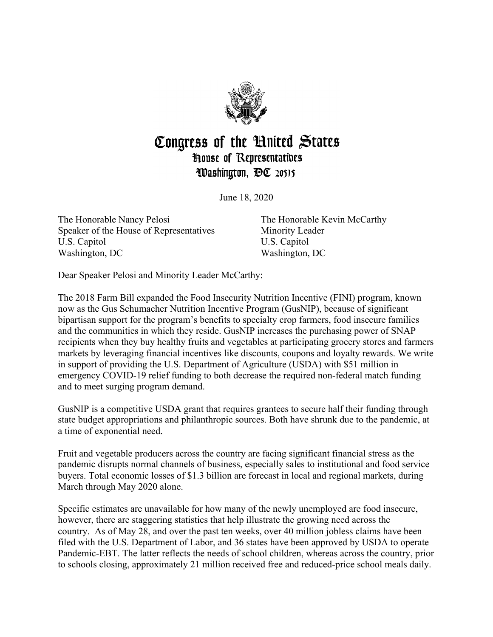

## Congress of the United States **House of Representatives** Washington, DC 20515

June 18, 2020

The Honorable Nancy Pelosi Speaker of the House of Representatives U.S. Capitol Washington, DC

The Honorable Kevin McCarthy Minority Leader U.S. Capitol Washington, DC

Dear Speaker Pelosi and Minority Leader McCarthy:

The 2018 Farm Bill expanded the Food Insecurity Nutrition Incentive (FINI) program, known now as the Gus Schumacher Nutrition Incentive Program (GusNIP), because of significant bipartisan support for the program's benefits to specialty crop farmers, food insecure families and the communities in which they reside. GusNIP increases the purchasing power of SNAP recipients when they buy healthy fruits and vegetables at participating grocery stores and farmers markets by leveraging financial incentives like discounts, coupons and loyalty rewards. We write in support of providing the U.S. Department of Agriculture (USDA) with \$51 million in emergency COVID-19 relief funding to both decrease the required non-federal match funding and to meet surging program demand.

GusNIP is a competitive USDA grant that requires grantees to secure half their funding through state budget appropriations and philanthropic sources. Both have shrunk due to the pandemic, at a time of exponential need.

Fruit and vegetable producers across the country are facing significant financial stress as the pandemic disrupts normal channels of business, especially sales to institutional and food service buyers. Total economic losses of \$1.3 billion are forecast in local and regional markets, during March through May 2020 alone.

Specific estimates are unavailable for how many of the newly unemployed are food insecure, however, there are staggering statistics that help illustrate the growing need across the country. As of May 28, and over the past ten weeks, over 40 million jobless claims have been filed with the U.S. Department of Labor, and 36 states have been approved by USDA to operate Pandemic-EBT. The latter reflects the needs of school children, whereas across the country, prior to schools closing, approximately 21 million received free and reduced-price school meals daily.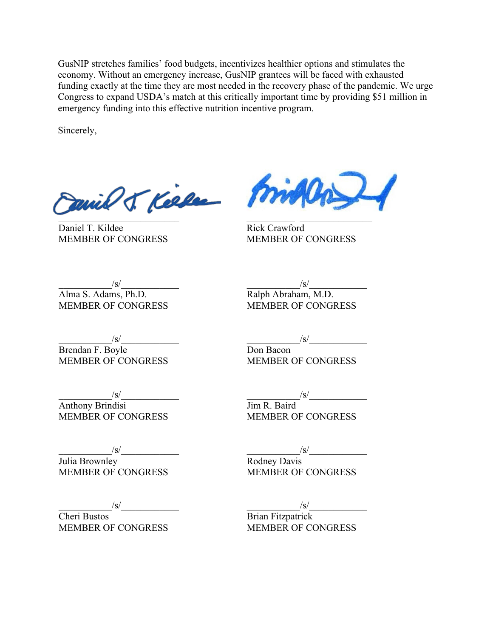GusNIP stretches families' food budgets, incentivizes healthier options and stimulates the economy. Without an emergency increase, GusNIP grantees will be faced with exhausted funding exactly at the time they are most needed in the recovery phase of the pandemic. We urge Congress to expand USDA's match at this critically important time by providing \$51 million in emergency funding into this effective nutrition incentive program.

Sincerely,

Daniel & Kielee Min

Daniel T. Kildee MEMBER OF CONGRESS

Rick Crawford MEMBER OF CONGRESS

 $/\mathrm{s}/$ 

Ralph Abraham, M.D. MEMBER OF CONGRESS

 $/\mathrm{s}/$ 

Don Bacon

 $/\mathrm{s}/$ 

Alma S. Adams, Ph.D. MEMBER OF CONGRESS

 $/\mathrm{s}/$ Brendan F. Boyle MEMBER OF CONGRESS

 $/\mathrm{s}/$ Anthony Brindisi MEMBER OF CONGRESS

 $/\mathrm{s}/$ Julia Brownley MEMBER OF CONGRESS

 $/\mathrm{s}/$ 

Cheri Bustos MEMBER OF CONGRESS  $/\mathrm{s}/$ 

MEMBER OF CONGRESS

Jim R. Baird MEMBER OF CONGRESS

 $/\mathrm{s}/$ 

Rodney Davis MEMBER OF CONGRESS

 $/\mathrm{s}/$ 

Brian Fitzpatrick MEMBER OF CONGRESS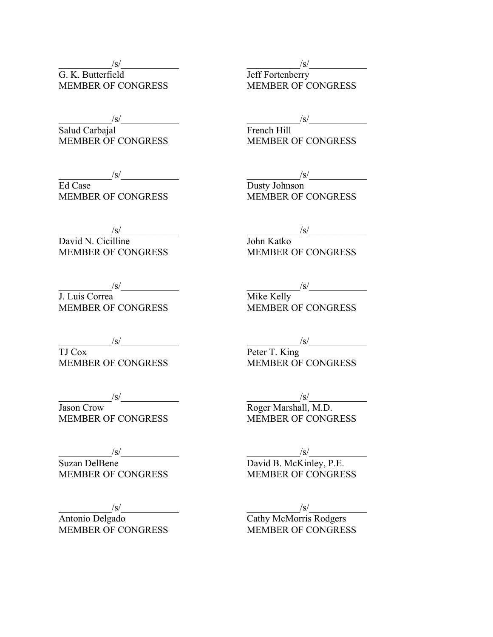$/\mathrm{s}/$ G. K. Butterfield MEMBER OF CONGRESS

 $/\mathrm{s}/$ 

Salud Carbajal MEMBER OF CONGRESS

 $/\mathrm{s}/$ 

Ed Case MEMBER OF CONGRESS

 $/\mathrm{s}/$ 

David N. Cicilline MEMBER OF CONGRESS

 $/\mathrm{s}/$ 

J. Luis Correa MEMBER OF CONGRESS

 $/\mathrm{s}/$ 

TJ Cox MEMBER OF CONGRESS

 $/\mathrm{s}/$ Jason Crow MEMBER OF CONGRESS

 $/\mathrm{s}/$ 

Suzan DelBene MEMBER OF CONGRESS

 $/\mathrm{s}/$ 

Antonio Delgado MEMBER OF CONGRESS  $/\mathrm{s}/$ 

Jeff Fortenberry MEMBER OF CONGRESS

 $/\mathrm{s}/$ 

French Hill MEMBER OF CONGRESS

 $/\mathrm{s}/$ 

Dusty Johnson MEMBER OF CONGRESS

 $/\mathrm{s}/$ 

John Katko MEMBER OF CONGRESS

 $/\mathrm{s}/$ 

Mike Kelly MEMBER OF CONGRESS

 $/\mathrm{s}/$ 

Peter T. King MEMBER OF CONGRESS

 $/\mathrm{s}/$ Roger Marshall, M.D. MEMBER OF CONGRESS

 $/\mathrm{s}/$ 

David B. McKinley, P.E. MEMBER OF CONGRESS

 $/\mathrm{s}/$ 

Cathy McMorris Rodgers MEMBER OF CONGRESS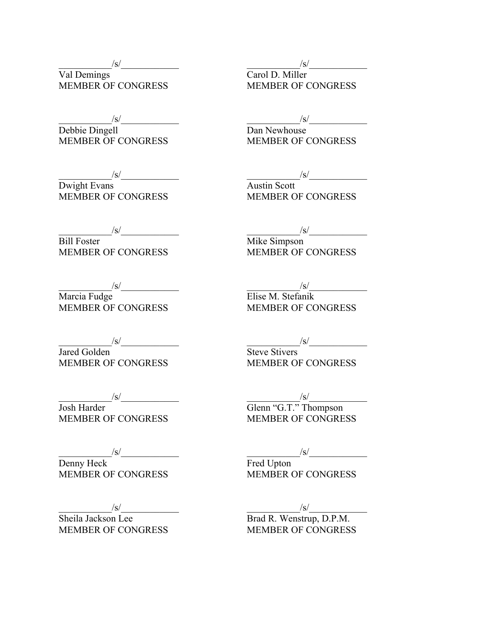$/\mathrm{s}/$ 

Val Demings MEMBER OF CONGRESS

 $/\mathrm{s}/$ 

Debbie Dingell MEMBER OF CONGRESS

 $/\mathrm{s}/$ 

Dwight Evans MEMBER OF CONGRESS

 $/\mathrm{s}/$ 

Bill Foster MEMBER OF CONGRESS

 $/\mathrm{s}/$ 

Marcia Fudge MEMBER OF CONGRESS

 $/\mathrm{s}/$ 

Jared Golden MEMBER OF CONGRESS

 $/\mathrm{s}/$ 

Josh Harder MEMBER OF CONGRESS

 $/\mathrm{s}/$ Denny Heck MEMBER OF CONGRESS

 $/\mathrm{s}/$ 

Sheila Jackson Lee MEMBER OF CONGRESS  $/\mathrm{s}/$ 

Carol D. Miller MEMBER OF CONGRESS

 $/\mathrm{s}/$ 

Dan Newhouse MEMBER OF CONGRESS

 $/\mathrm{s}/$ 

Austin Scott MEMBER OF CONGRESS

 $/\mathrm{s}/$ 

Mike Simpson MEMBER OF CONGRESS

 $/\mathrm{s}/$ Elise M. Stefanik MEMBER OF CONGRESS

 $/\mathrm{s}/$ 

Steve Stivers MEMBER OF CONGRESS

 $/\mathrm{s}/$ Glenn "G.T." Thompson MEMBER OF CONGRESS

 $/\mathrm{s}/$ 

Fred Upton MEMBER OF CONGRESS

 $/\mathrm{s}/$ 

Brad R. Wenstrup, D.P.M. MEMBER OF CONGRESS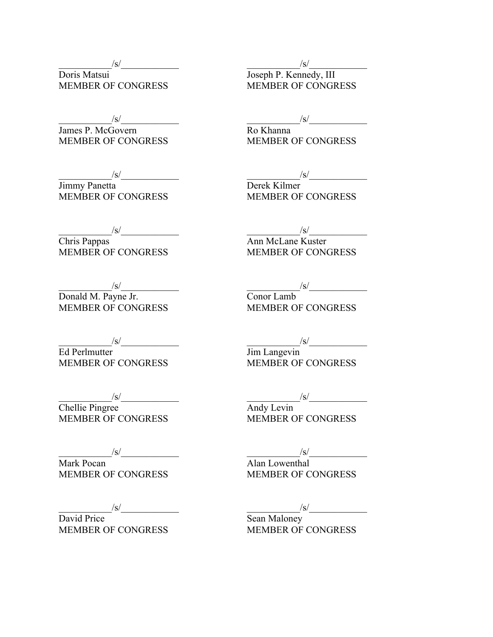$/\mathrm{s}/$ 

Doris Matsui MEMBER OF CONGRESS

 $/\mathrm{s}/$ 

James P. McGovern MEMBER OF CONGRESS

 $/\mathrm{s}/$ 

Jimmy Panetta MEMBER OF CONGRESS

 $/\mathrm{s}/$ 

Chris Pappas MEMBER OF CONGRESS

 $/\mathrm{s}/$ Donald M. Payne Jr. MEMBER OF CONGRESS

 $/\mathrm{s}/$ Ed Perlmutter MEMBER OF CONGRESS

 $/\mathrm{s}/$ Chellie Pingree MEMBER OF CONGRESS

 $/\mathrm{s}/$ Mark Pocan MEMBER OF CONGRESS

 $/\mathrm{s}/$ 

David Price MEMBER OF CONGRESS  $/\mathrm{s}/$ 

Joseph P. Kennedy, III MEMBER OF CONGRESS

 $/\mathrm{s}/$ 

Ro Khanna MEMBER OF CONGRESS

 $/\mathrm{s}/$ 

Derek Kilmer MEMBER OF CONGRESS

 $/\mathrm{s}/$ 

Ann McLane Kuster MEMBER OF CONGRESS

 $/\mathrm{s}/$ 

Conor Lamb MEMBER OF CONGRESS

 $/\mathrm{s}/$ 

Jim Langevin MEMBER OF CONGRESS

 $/\mathrm{s}/$ 

Andy Levin MEMBER OF CONGRESS

 $/\mathrm{s}/$ 

Alan Lowenthal MEMBER OF CONGRESS

 $/\mathrm{s}/$ 

Sean Maloney MEMBER OF CONGRESS